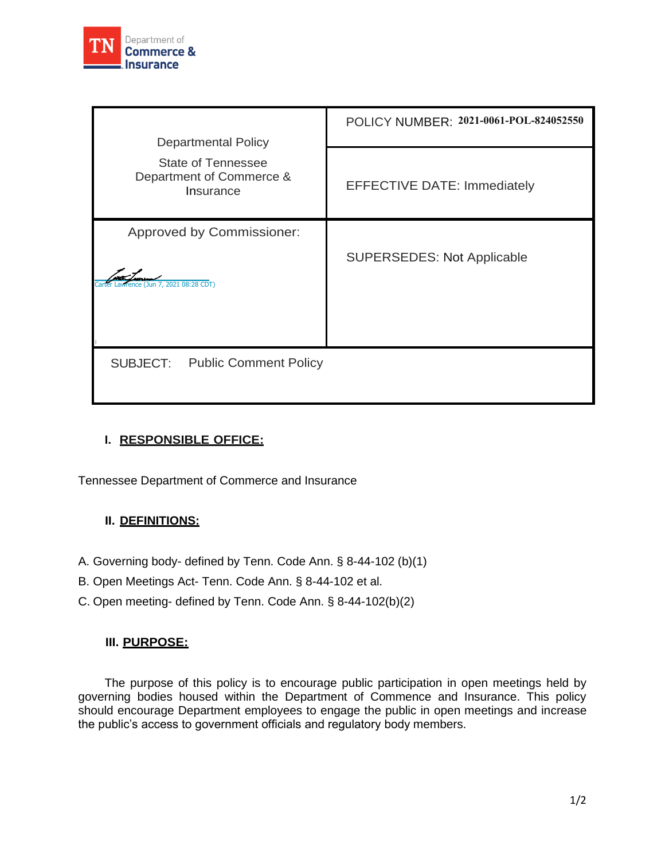

| <b>Departmental Policy</b>                                  | POLICY NUMBER: 2021-0061-POL-824052550 |
|-------------------------------------------------------------|----------------------------------------|
| State of Tennessee<br>Department of Commerce &<br>Insurance | <b>EFFECTIVE DATE: Immediately</b>     |
| Approved by Commissioner:<br>(Jun 7, 2021 08:28 CDT)        | <b>SUPERSEDES: Not Applicable</b>      |
| SUBJECT:<br><b>Public Comment Policy</b>                    |                                        |

## **I. RESPONSIBLE OFFICE:**

Tennessee Department of Commerce and Insurance

## **II. DEFINITIONS:**

- A. Governing body- defined by Tenn. Code Ann. § 8-44-102 (b)(1)
- B. Open Meetings Act- Tenn. Code Ann. § 8-44-102 et al.
- C. Open meeting- defined by Tenn. Code Ann. § 8-44-102(b)(2)

## **III. PURPOSE:**

The purpose of this policy is to encourage public participation in open meetings held by governing bodies housed within the Department of Commence and Insurance. This policy should encourage Department employees to engage the public in open meetings and increase the public's access to government officials and regulatory body members.